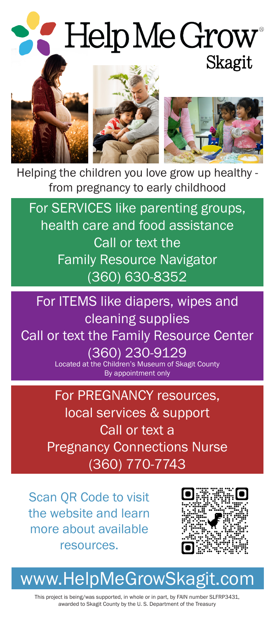## Help Me Grow<sup>®</sup> Skagit







Helping the children you love grow up healthy from pregnancy to early childhood

For SERVICES like parenting groups, health care and food assistance Call or text the Family Resource Navigator (360) 630-8352

For ITEMS like diapers, wipes and cleaning supplies Call or text the Family Resource Center (360) 230-9129 Located at the Children's Museum of Skagit County By appointment only

> For PREGNANCY resources, local services & support Call or text a Pregnancy Connections Nurse (360) 770-7743

Scan QR Code to visit the website and learn more about available resources.



## www.HelpMeGrowSkagit.com

This project is being/was supported, in whole or in part, by FAIN number SLFRP3431, awarded to Skagit County by the U. S. Department of the Treasury